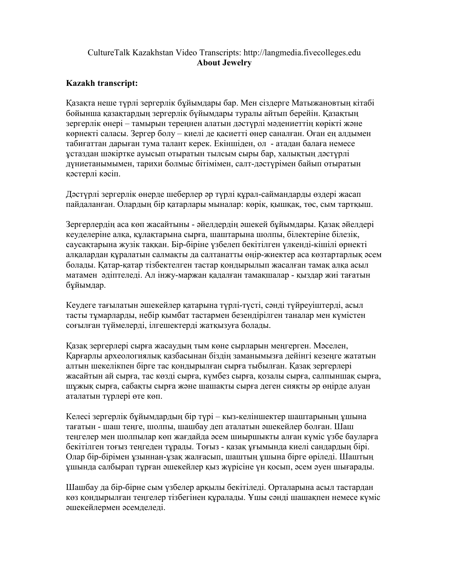## CultureTalk Kazakhstan Video Transcripts: http://langmedia.fivecolleges.edu About Jewelry

## Kazakh transcript:

Қазақта неше түрлі зергерлік бұйымдары бар. Мен сіздерге Матыжановтың кітабі бойынша қазақтардың зергерлік бүйымдары туралы айтып берейін. Қазақтың зергерлік өнері – тамырын тереңнен алатын дəстүрлі мəдениеттің көрікті жəне көрнекті саласы. Зергер болу – киелі де қасиетті өнер саналған. Оған ең алдымен табиғаттан дарыған тума талант керек. Екіншіден, ол - атадан балаға немесе ұстаздан шəкіртке ауысып отыратын тылсым сыры бар, халықтың дəстүрлі дүниетанымымен, тарихи болмыс бітімімен, салт-дəстүрімен байып отыратын қəстерлі кəсіп.

Дəстүрлі зергерлік өнерде шеберлер əр түрлі құрал-саймандарды өздері жасап пайдаланған. Олардың бір қатарлары мыналар: көрік, қышқақ, төс, сым тартқыш.

Зергерлердің аса көп жасайтыны - əйелдердің əшекей бұйымдары. Қазақ əйелдері кеуделеріне алқа, құлақтарына сырға, шаштарына шолпы, білектеріне білезік, саусақтарына жузік таққан. Бір-біріне үзбелеп бекітілген үлкенді-кішілі өрнекті алқалардан құралатын салмақты да салтанатты өңір-жиектер аса көзтартарлық əсем болады. Қатар-қатар тізбектелген тастар қондырылып жасалған тамақ алқа асыл матамен əдіптеледі. Ал інжу-маржан қадалған тамақшалар - қыздар жиі тағатын бұйымдар.

Кеудеге тағылатын əшекейлер қатарына түрлі-түсті, сəнді түйреуіштерді, асыл тасты тұмарларды, небір қымбат тастармен безендірілген таналар мен күмістен соғылған түймелерді, ілгешектерді жатқызуға болады.

Қазақ зергерлері сырға жасаудың тым көне сырларын меңгерген. Мəселен, Қарғарлы археологиялық қазбасынан біздің заманымызға дейінгі кезеңге жататын алтын шекелікпен бірге тас қондырылған сырға тыбылған. Қазақ зергерлері жасайтын ай сырға, тас көзді сырға, күмбез сырға, қозалы сырға, салпыншақ сырға, шұжық сырға, сабақты сырға жəне шашақты сырға деген сияқты əр өңірде алуан аталатын түрлері өте көп.

Келесі зергерлік бұйымдардың бір түрі – кыз-келіншектер шаштарының ұшына тағатын - шаш теңге, шолпы, шашбау деп аталатын əшекейлер болған. Шаш теңгелер мен шолпылар көп жағдайда əсем шиыршыкты алған күміс үзбе бауларға бекітілген тоғыз теңгеден тұрады. Тоғыз - қазақ ұғымында киелі сандардың бірі. Олар бір-бірімен ұзыннан-ұзақ жалғасып, шаштың ұшына бірге өріледі. Шаштың ұшында салбырап тұрған əшекейлер қыз жүрісіне үн қосып, əсем əуен шығарады.

Шашбау да бір-бірне сым үзбелер арқылы бекітіледі. Орталарына асыл тастардан көз қондырылған теңгелер тізбегінен құралады. Ұшы сəнді шашақпен немесе күміс əшекейлермен əсемделеді.